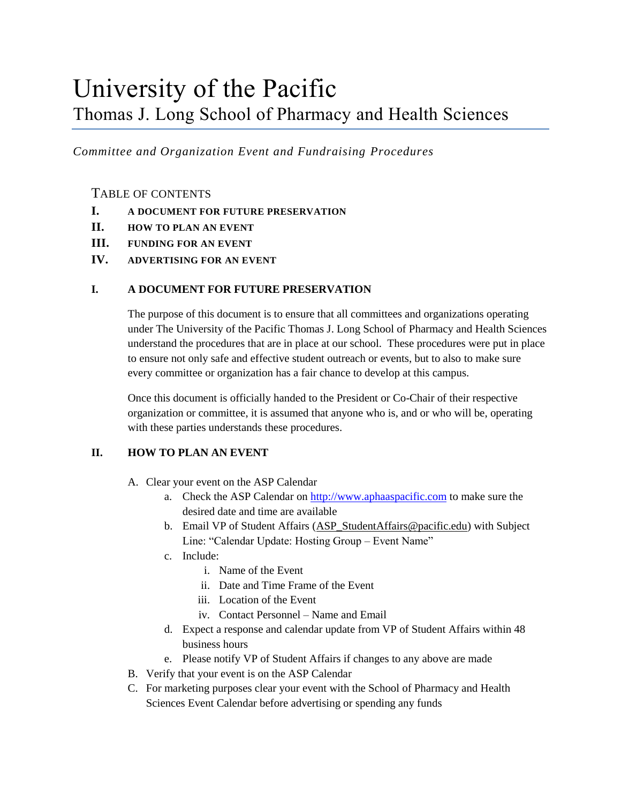# University of the Pacific Thomas J. Long School of Pharmacy and Health Sciences

*Committee and Organization Event and Fundraising Procedures*

### TABLE OF CONTENTS

- **I. A DOCUMENT FOR FUTURE PRESERVATION**
- **II. HOW TO PLAN AN EVENT**
- **III. FUNDING FOR AN EVENT**
- **IV. ADVERTISING FOR AN EVENT**

#### **I. A DOCUMENT FOR FUTURE PRESERVATION**

The purpose of this document is to ensure that all committees and organizations operating under The University of the Pacific Thomas J. Long School of Pharmacy and Health Sciences understand the procedures that are in place at our school. These procedures were put in place to ensure not only safe and effective student outreach or events, but to also to make sure every committee or organization has a fair chance to develop at this campus.

Once this document is officially handed to the President or Co-Chair of their respective organization or committee, it is assumed that anyone who is, and or who will be, operating with these parties understands these procedures.

#### **II. HOW TO PLAN AN EVENT**

- A. Clear your event on the ASP Calendar
	- a. Check the ASP Calendar on [http://www.aphaaspacific.com](http://www.aphaaspacific.com/) to make sure the desired date and time are available
	- b. Email VP of Student Affairs [\(ASP\\_StudentAffairs@pacific.edu\)](mailto:ASP_StudentAffairs@pacific.edu) with Subject Line: "Calendar Update: Hosting Group – Event Name"
	- c. Include:
		- i. Name of the Event
		- ii. Date and Time Frame of the Event
		- iii. Location of the Event
		- iv. Contact Personnel Name and Email
	- d. Expect a response and calendar update from VP of Student Affairs within 48 business hours
	- e. Please notify VP of Student Affairs if changes to any above are made
- B. Verify that your event is on the ASP Calendar
- C. For marketing purposes clear your event with the School of Pharmacy and Health Sciences Event Calendar before advertising or spending any funds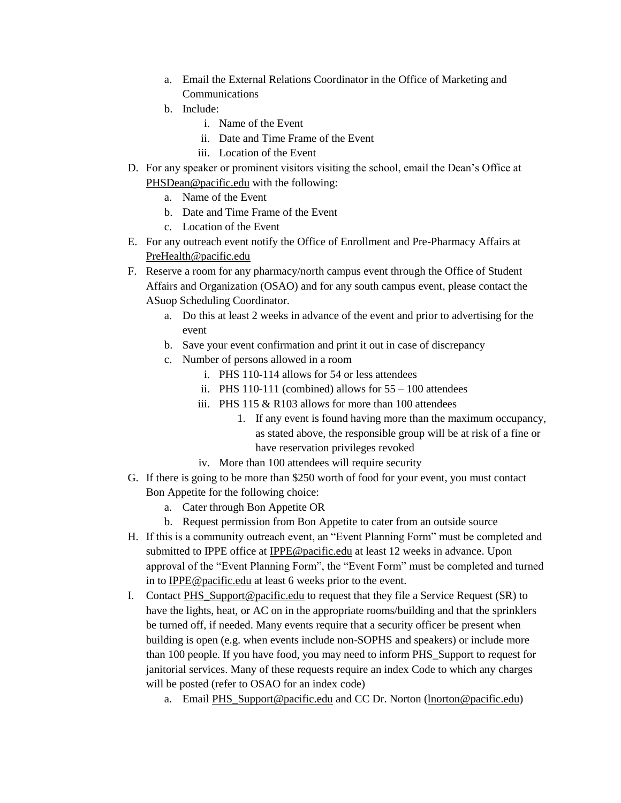- a. Email the External Relations Coordinator in the Office of Marketing and Communications
- b. Include:
	- i. Name of the Event
	- ii. Date and Time Frame of the Event
	- iii. Location of the Event
- D. For any speaker or prominent visitors visiting the school, email the Dean's Office at [PHSDean@pacific.edu](mailto:PHSDean@pacific.edu) with the following:
	- a. Name of the Event
	- b. Date and Time Frame of the Event
	- c. Location of the Event
- E. For any outreach event notify the Office of Enrollment and Pre-Pharmacy Affairs at [PreHealth@pacific.edu](mailto:PreHealth@pacific.edu)
- F. Reserve a room for any pharmacy/north campus event through the Office of Student Affairs and Organization (OSAO) and for any south campus event, please contact the ASuop Scheduling Coordinator.
	- a. Do this at least 2 weeks in advance of the event and prior to advertising for the event
	- b. Save your event confirmation and print it out in case of discrepancy
	- c. Number of persons allowed in a room
		- i. PHS 110-114 allows for 54 or less attendees
		- ii. PHS 110-111 (combined) allows for  $55 100$  attendees
		- iii. PHS 115  $&$  R103 allows for more than 100 attendees
			- 1. If any event is found having more than the maximum occupancy, as stated above, the responsible group will be at risk of a fine or have reservation privileges revoked
		- iv. More than 100 attendees will require security
- G. If there is going to be more than \$250 worth of food for your event, you must contact Bon Appetite for the following choice:
	- a. Cater through Bon Appetite OR
	- b. Request permission from Bon Appetite to cater from an outside source
- H. If this is a community outreach event, an "Event Planning Form" must be completed and submitted to IPPE office at [IPPE@pacific.edu](mailto:IPPE@pacific.edu) at least 12 weeks in advance. Upon approval of the "Event Planning Form", the "Event Form" must be completed and turned in t[o IPPE@pacific.edu](mailto:IPPE@pacific.edu) at least 6 weeks prior to the event.
- I. Contact PHS Support@pacific.edu to request that they file a Service Request (SR) to have the lights, heat, or AC on in the appropriate rooms/building and that the sprinklers be turned off, if needed. Many events require that a security officer be present when building is open (e.g. when events include non-SOPHS and speakers) or include more than 100 people. If you have food, you may need to inform PHS\_Support to request for janitorial services. Many of these requests require an index Code to which any charges will be posted (refer to OSAO for an index code)
	- a. Email [PHS\\_Support@pacific.edu](mailto:PHS_Support@pacific.edu) and CC Dr. Norton [\(lnorton@pacific.edu\)](mailto:lnorton@pacific.edu)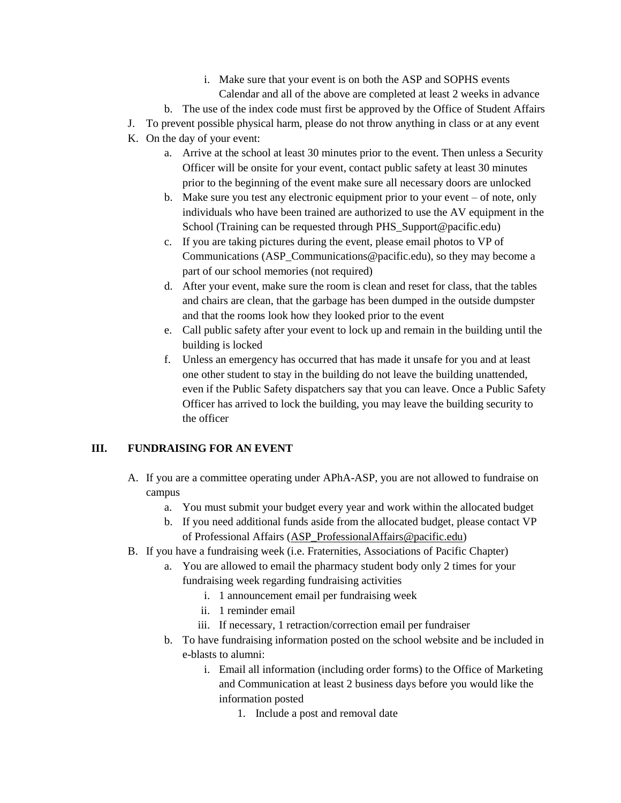- i. Make sure that your event is on both the ASP and SOPHS events Calendar and all of the above are completed at least 2 weeks in advance
- b. The use of the index code must first be approved by the Office of Student Affairs
- J. To prevent possible physical harm, please do not throw anything in class or at any event
- K. On the day of your event:
	- a. Arrive at the school at least 30 minutes prior to the event. Then unless a Security Officer will be onsite for your event, contact public safety at least 30 minutes prior to the beginning of the event make sure all necessary doors are unlocked
	- b. Make sure you test any electronic equipment prior to your event of note, only individuals who have been trained are authorized to use the AV equipment in the School (Training can be requested through [PHS\\_Support@pacific.edu\)](mailto:PHS_Support@pacific.edu)
	- c. If you are taking pictures during the event, please email photos to VP of Communications (ASP\_Communications@pacific.edu), so they may become a part of our school memories (not required)
	- d. After your event, make sure the room is clean and reset for class, that the tables and chairs are clean, that the garbage has been dumped in the outside dumpster and that the rooms look how they looked prior to the event
	- e. Call public safety after your event to lock up and remain in the building until the building is locked
	- f. Unless an emergency has occurred that has made it unsafe for you and at least one other student to stay in the building do not leave the building unattended, even if the Public Safety dispatchers say that you can leave. Once a Public Safety Officer has arrived to lock the building, you may leave the building security to the officer

## **III. FUNDRAISING FOR AN EVENT**

- A. If you are a committee operating under APhA-ASP, you are not allowed to fundraise on campus
	- a. You must submit your budget every year and work within the allocated budget
	- b. If you need additional funds aside from the allocated budget, please contact VP of Professional Affairs [\(ASP\\_ProfessionalAffairs@pacific.edu\)](mailto:ASP_ProfessionalAffairs@pacific.edu)
- B. If you have a fundraising week (i.e. Fraternities, Associations of Pacific Chapter)
	- a. You are allowed to email the pharmacy student body only 2 times for your fundraising week regarding fundraising activities
		- i. 1 announcement email per fundraising week
		- ii. 1 reminder email
		- iii. If necessary, 1 retraction/correction email per fundraiser
	- b. To have fundraising information posted on the school website and be included in e-blasts to alumni:
		- i. Email all information (including order forms) to the Office of Marketing and Communication at least 2 business days before you would like the information posted
			- 1. Include a post and removal date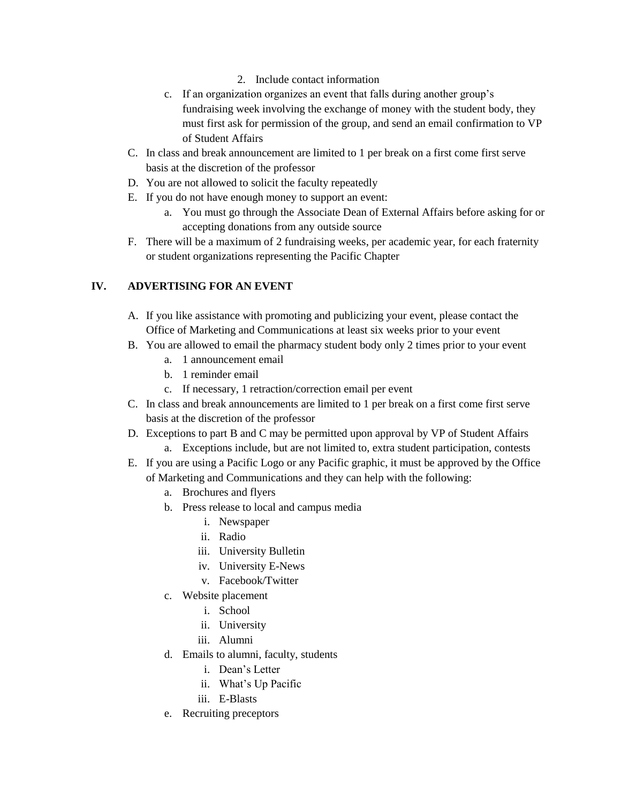- 2. Include contact information
- c. If an organization organizes an event that falls during another group's fundraising week involving the exchange of money with the student body, they must first ask for permission of the group, and send an email confirmation to VP of Student Affairs
- C. In class and break announcement are limited to 1 per break on a first come first serve basis at the discretion of the professor
- D. You are not allowed to solicit the faculty repeatedly
- E. If you do not have enough money to support an event:
	- a. You must go through the Associate Dean of External Affairs before asking for or accepting donations from any outside source
- F. There will be a maximum of 2 fundraising weeks, per academic year, for each fraternity or student organizations representing the Pacific Chapter

#### **IV. ADVERTISING FOR AN EVENT**

- A. If you like assistance with promoting and publicizing your event, please contact the Office of Marketing and Communications at least six weeks prior to your event
- B. You are allowed to email the pharmacy student body only 2 times prior to your event
	- a. 1 announcement email
	- b. 1 reminder email
	- c. If necessary, 1 retraction/correction email per event
- C. In class and break announcements are limited to 1 per break on a first come first serve basis at the discretion of the professor
- D. Exceptions to part B and C may be permitted upon approval by VP of Student Affairs a. Exceptions include, but are not limited to, extra student participation, contests
- E. If you are using a Pacific Logo or any Pacific graphic, it must be approved by the Office of Marketing and Communications and they can help with the following:
	- a. Brochures and flyers
	- b. Press release to local and campus media
		- i. Newspaper
		- ii. Radio
		- iii. University Bulletin
		- iv. University E-News
		- v. Facebook/Twitter
	- c. Website placement
		- i. School
		- ii. University
		- iii. Alumni
	- d. Emails to alumni, faculty, students
		- i. Dean's Letter
		- ii. What's Up Pacific
		- iii. E-Blasts
	- e. Recruiting preceptors